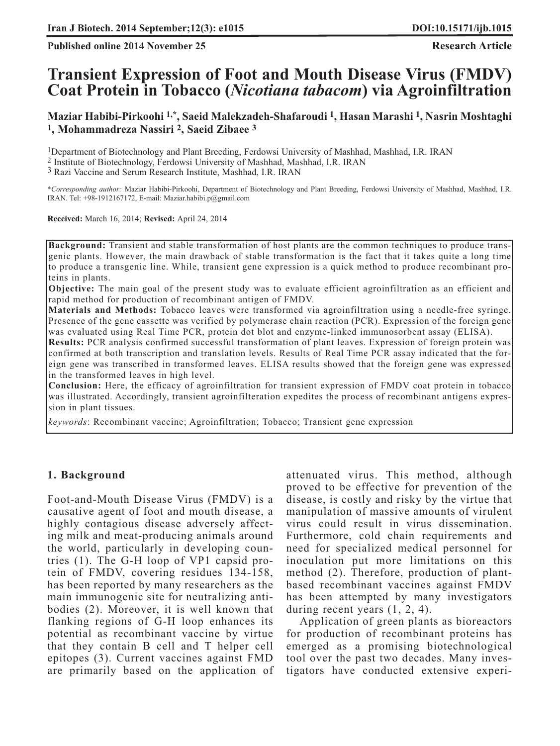**Published online 2014 November 25 Research Article** 

# **Transient Expression of Foot and Mouth Disease Virus (FMDV) Coat Protein in Tobacco (***Nicotiana tabacom***) via Agroinfiltration**

**Maziar Habibi-Pirkoohi 1,\*, Saeid Malekzadeh-Shafaroudi 1, Hasan Marashi 1, Nasrin Moshtaghi 1, Mohammadreza Nassiri 2, Saeid Zibaee 3**

1Department of Biotechnology and Plant Breeding, Ferdowsi University of Mashhad, Mashhad, I.R. IRAN

2 Institute of Biotechnology, Ferdowsi University of Mashhad, Mashhad, I.R. IRAN

3 Razi Vaccine and Serum Research Institute, Mashhad, I.R. IRAN

*\*Corresponding author:* Maziar Habibi-Pirkoohi, Department of Biotechnology and Plant Breeding, Ferdowsi University of Mashhad, Mashhad, I.R. IRAN. Tel: +98-1912167172, E-mail: Maziar.habibi.p@gmail.com

**Received:** March 16, 2014; **Revised:** April 24, 2014

**Background:** Transient and stable transformation of host plants are the common techniques to produce transgenic plants. However, the main drawback of stable transformation is the fact that it takes quite a long time to produce a transgenic line. While, transient gene expression is a quick method to produce recombinant proteins in plants.

**Objective:** The main goal of the present study was to evaluate efficient agroinfiltration as an efficient and rapid method for production of recombinant antigen of FMDV.

**Materials and Methods:** Tobacco leaves were transformed via agroinfiltration using a needle-free syringe. Presence of the gene cassette was verified by polymerase chain reaction (PCR). Expression of the foreign gene was evaluated using Real Time PCR, protein dot blot and enzyme-linked immunosorbent assay (ELISA).

**Results:** PCR analysis confirmed successful transformation of plant leaves. Expression of foreign protein was confirmed at both transcription and translation levels. Results of Real Time PCR assay indicated that the foreign gene was transcribed in transformed leaves. ELISA results showed that the foreign gene was expressed in the transformed leaves in high level.

**Conclusion:** Here, the efficacy of agroinfiltration for transient expression of FMDV coat protein in tobacco was illustrated. Accordingly, transient agroinfilteration expedites the process of recombinant antigens expression in plant tissues.

*keywords*: Recombinant vaccine; Agroinfiltration; Tobacco; Transient gene expression

#### **1. Background**

Foot-and-Mouth Disease Virus (FMDV) is a causative agent of foot and mouth disease, a highly contagious disease adversely affecting milk and meat-producing animals around the world, particularly in developing countries (1). The G-H loop of VP1 capsid protein of FMDV, covering residues 134-158, has been reported by many researchers as the main immunogenic site for neutralizing antibodies (2). Moreover, it is well known that flanking regions of G-H loop enhances its potential as recombinant vaccine by virtue that they contain B cell and T helper cell epitopes (3). Current vaccines against FMD are primarily based on the application of attenuated virus. This method, although proved to be effective for prevention of the disease, is costly and risky by the virtue that manipulation of massive amounts of virulent virus could result in virus dissemination. Furthermore, cold chain requirements and need for specialized medical personnel for inoculation put more limitations on this method (2). Therefore, production of plantbased recombinant vaccines against FMDV has been attempted by many investigators during recent years (1, 2, 4).

Application of green plants as bioreactors for production of recombinant proteins has emerged as a promising biotechnological tool over the past two decades. Many investigators have conducted extensive experi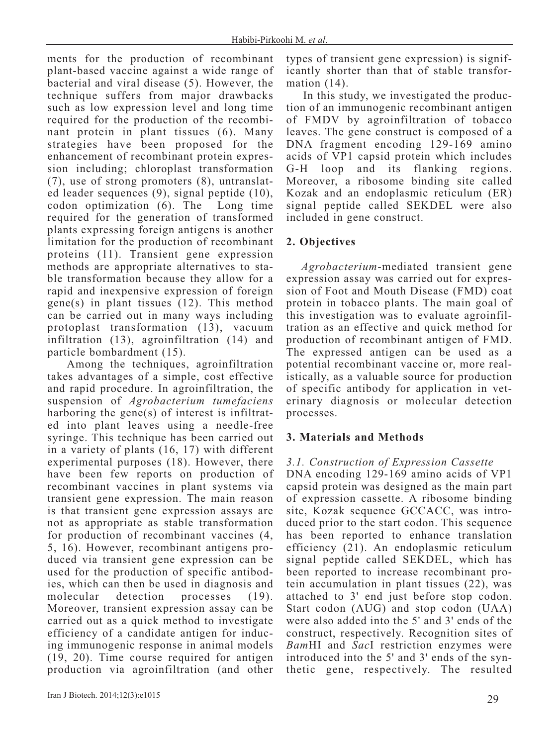ments for the production of recombinant plant-based vaccine against a wide range of bacterial and viral disease (5). However, the technique suffers from major drawbacks such as low expression level and long time required for the production of the recombinant protein in plant tissues (6). Many strategies have been proposed for the enhancement of recombinant protein expression including; chloroplast transformation (7), use of strong promoters (8), untranslated leader sequences (9), signal peptide (10), codon optimization (6). The Long time required for the generation of transformed plants expressing foreign antigens is another limitation for the production of recombinant proteins (11). Transient gene expression methods are appropriate alternatives to stable transformation because they allow for a rapid and inexpensive expression of foreign gene(s) in plant tissues (12). This method can be carried out in many ways including protoplast transformation (13), vacuum infiltration (13), agroinfiltration (14) and particle bombardment (15).

Among the techniques, agroinfiltration takes advantages of a simple, cost effective and rapid procedure. In agroinfiltration, the suspension of *Agrobacterium tumefaciens* harboring the gene(s) of interest is infiltrated into plant leaves using a needle-free syringe. This technique has been carried out in a variety of plants (16, 17) with different experimental purposes (18). However, there have been few reports on production of recombinant vaccines in plant systems via transient gene expression. The main reason is that transient gene expression assays are not as appropriate as stable transformation for production of recombinant vaccines (4, 5, 16). However, recombinant antigens produced via transient gene expression can be used for the production of specific antibodies, which can then be used in diagnosis and molecular detection processes (19). Moreover, transient expression assay can be carried out as a quick method to investigate efficiency of a candidate antigen for inducing immunogenic response in animal models (19, 20). Time course required for antigen production via agroinfiltration (and other

types of transient gene expression) is significantly shorter than that of stable transformation (14).

In this study, we investigated the production of an immunogenic recombinant antigen of FMDV by agroinfiltration of tobacco leaves. The gene construct is composed of a DNA fragment encoding 129-169 amino acids of VP1 capsid protein which includes G-H loop and its flanking regions. Moreover, a ribosome binding site called Kozak and an endoplasmic reticulum (ER) signal peptide called SEKDEL were also included in gene construct.

# **2. Objectives**

*Agrobacterium*-mediated transient gene expression assay was carried out for expression of Foot and Mouth Disease (FMD) coat protein in tobacco plants. The main goal of this investigation was to evaluate agroinfiltration as an effective and quick method for production of recombinant antigen of FMD. The expressed antigen can be used as a potential recombinant vaccine or, more realistically, as a valuable source for production of specific antibody for application in veterinary diagnosis or molecular detection processes.

## **3. Materials and Methods**

## *3.1. Construction of Expression Cassette*

DNA encoding 129-169 amino acids of VP1 capsid protein was designed as the main part of expression cassette. A ribosome binding site, Kozak sequence GCCACC, was introduced prior to the start codon. This sequence has been reported to enhance translation efficiency (21). An endoplasmic reticulum signal peptide called SEKDEL, which has been reported to increase recombinant protein accumulation in plant tissues (22), was attached to 3' end just before stop codon. Start codon (AUG) and stop codon (UAA) were also added into the 5' and 3' ends of the construct, respectively. Recognition sites of *Bam*HI and *Sac*I restriction enzymes were introduced into the 5' and 3' ends of the synthetic gene, respectively. The resulted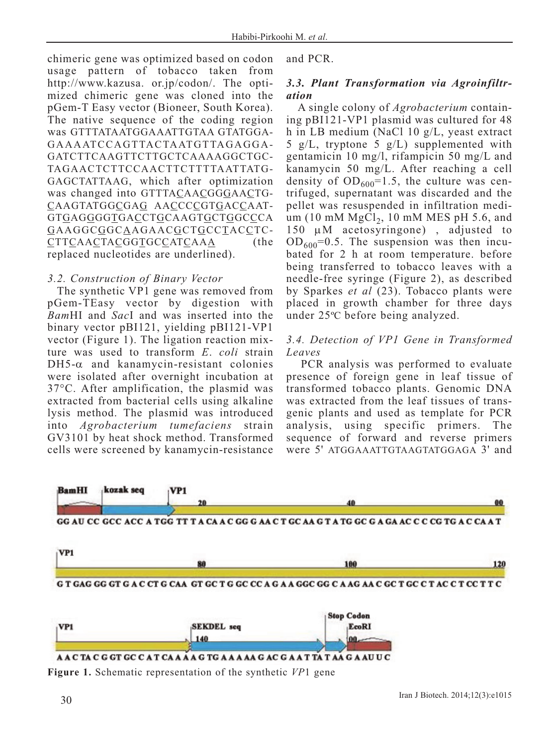chimeric gene was optimized based on codon usage pattern of tobacco taken from http://www.kazusa. or.jp/codon/. The optimized chimeric gene was cloned into the pGem-T Easy vector (Bioneer, South Korea). The native sequence of the coding region was GTTTATAATGGAAATTGTAA GTATGGA-GAAAATCCAGTTACTAATGTTAGAGGA-GATCTTCAAGTTCTTGCTCAAAAGGCTGC-TAGAACTCTTCCAACTTCTTTTAATTATG-GAGCTATTAAG, which after optimization was changed into GTTTACAACGGGAACTG-CAAGTATGGCGAG AACCCCGTGACCAAT-GTGAGGGGTGACCTGCAAGTGCTGGCCCA GAAGGCGGCAAGAACGCTGCCTACCTC-CTTCAACTACGGTGCCATCAAA (the replaced nucleotides are underlined).

## *3.2. Construction of Binary Vector*

The synthetic VP1 gene was removed from pGem-TEasy vector by digestion with *Bam*HI and *Sac*I and was inserted into the binary vector pBI121, yielding pBI121-VP1 vector (Figure 1). The ligation reaction mixture was used to transform *E*. *coli* strain  $DH5-\alpha$  and kanamycin-resistant colonies were isolated after overnight incubation at 37°C. After amplification, the plasmid was extracted from bacterial cells using alkaline lysis method. The plasmid was introduced into *Agrobacterium tumefaciens* strain GV3101 by heat shock method. Transformed cells were screened by kanamycin-resistance

and PCR.

## *3.3. Plant Transformation via Agroinfiltration*

A single colony of *Agrobacterium* containing pBI121-VP1 plasmid was cultured for 48 h in LB medium (NaCl 10 g/L, yeast extract 5 g/L, tryptone 5 g/L) supplemented with gentamicin 10 mg/l, rifampicin 50 mg/L and kanamycin 50 mg/L. After reaching a cell density of  $OD_{600} = 1.5$ , the culture was centrifuged, supernatant was discarded and the pellet was resuspended in infiltration medium (10 mM  $MgCl<sub>2</sub>$ , 10 mM MES pH 5.6, and 150 μM acetosyringone) , adjusted to  $OD_{600}=0.5$ . The suspension was then incubated for 2 h at room temperature. before being transferred to tobacco leaves with a needle-free syringe (Figure 2), as described by Sparkes *et al* (23). Tobacco plants were placed in growth chamber for three days under 25ºC before being analyzed.

## *3.4. Detection of VP1 Gene in Transformed Leaves*

PCR analysis was performed to evaluate presence of foreign gene in leaf tissue of transformed tobacco plants. Genomic DNA was extracted from the leaf tissues of transgenic plants and used as template for PCR analysis, using specific primers. The sequence of forward and reverse primers were 5' ATGGAAATTGTAAGTATGGAGA 3' and



**Figure 1.** Schematic representation of the synthetic *VP*1 gene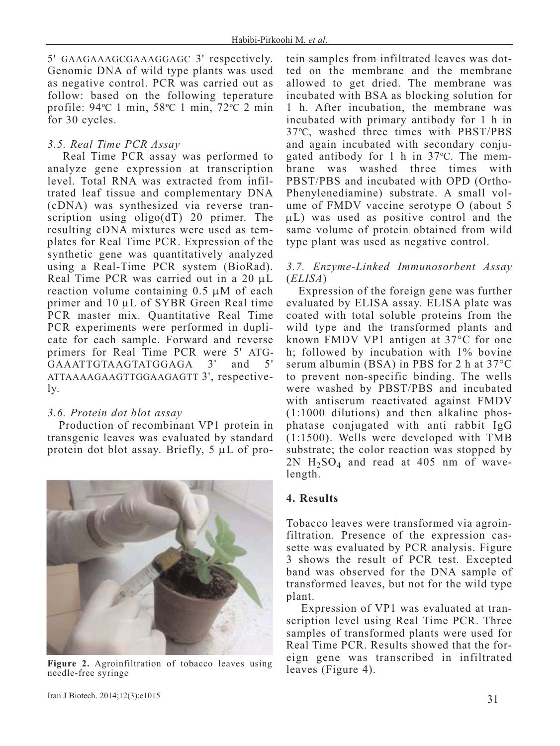5' GAAGAAAGCGAAAGGAGC 3' respectively. Genomic DNA of wild type plants was used as negative control. PCR was carried out as follow: based on the following teperature profile: 94ºC 1 min, 58ºC 1 min, 72ºC 2 min for 30 cycles.

## *3.5. Real Time PCR Assay*

Real Time PCR assay was performed to analyze gene expression at transcription level. Total RNA was extracted from infiltrated leaf tissue and complementary DNA (cDNA) was synthesized via reverse transcription using oligo(dT) 20 primer. The resulting cDNA mixtures were used as templates for Real Time PCR. Expression of the synthetic gene was quantitatively analyzed using a Real-Time PCR system (BioRad). Real Time PCR was carried out in a 20 μL reaction volume containing 0.5 μM of each primer and 10 μL of SYBR Green Real time PCR master mix. Quantitative Real Time PCR experiments were performed in duplicate for each sample. Forward and reverse primers for Real Time PCR were 5' ATG-GAAATTGTAAGTATGGAGA 3' and 5' ATTAAAAGAAGTTGGAAGAGTT 3', respectively.

## *3.6. Protein dot blot assay*

Production of recombinant VP1 protein in transgenic leaves was evaluated by standard protein dot blot assay. Briefly, 5 μL of pro-



**Figure 2.** Agroinfiltration of tobacco leaves using needle-free syringe

tein samples from infiltrated leaves was dotted on the membrane and the membrane allowed to get dried. The membrane was incubated with BSA as blocking solution for 1 h. After incubation, the membrane was incubated with primary antibody for 1 h in 37ºC, washed three times with PBST/PBS and again incubated with secondary conjugated antibody for 1 h in 37ºC. The membrane was washed three times with PBST/PBS and incubated with OPD (Ortho-Phenylenediamine) substrate. A small volume of FMDV vaccine serotype O (about 5 μL) was used as positive control and the same volume of protein obtained from wild type plant was used as negative control.

## *3.7. Enzyme-Linked Immunosorbent Assay* (*ELISA*)

Expression of the foreign gene was further evaluated by ELISA assay. ELISA plate was coated with total soluble proteins from the wild type and the transformed plants and known FMDV VP1 antigen at 37°C for one h; followed by incubation with 1% bovine serum albumin (BSA) in PBS for 2 h at 37°C to prevent non-specific binding. The wells were washed by PBST/PBS and incubated with antiserum reactivated against FMDV (1:1000 dilutions) and then alkaline phosphatase conjugated with anti rabbit IgG (1:1500). Wells were developed with TMB substrate; the color reaction was stopped by 2N  $H_2SO_4$  and read at 405 nm of wavelength.

## **4. Results**

Tobacco leaves were transformed via agroinfiltration. Presence of the expression cassette was evaluated by PCR analysis. Figure 3 shows the result of PCR test. Excepted band was observed for the DNA sample of transformed leaves, but not for the wild type plant.

Expression of VP1 was evaluated at transcription level using Real Time PCR. Three samples of transformed plants were used for Real Time PCR. Results showed that the foreign gene was transcribed in infiltrated leaves (Figure 4).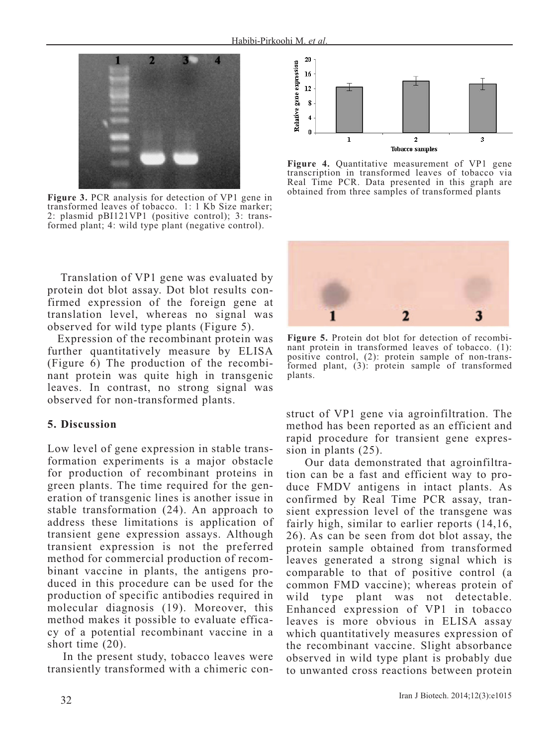

**Figure 3.** PCR analysis for detection of VP1 gene in transformed leaves of tobacco. 1: 1 Kb Size marker; 2: plasmid pBI121VP1 (positive control); 3: transformed plant; 4: wild type plant (negative control).

Translation of VP1 gene was evaluated by protein dot blot assay. Dot blot results confirmed expression of the foreign gene at translation level, whereas no signal was observed for wild type plants (Figure 5).

Expression of the recombinant protein was further quantitatively measure by ELISA (Figure 6) The production of the recombinant protein was quite high in transgenic leaves. In contrast, no strong signal was observed for non-transformed plants.

## **5. Discussion**

Low level of gene expression in stable transformation experiments is a major obstacle for production of recombinant proteins in green plants. The time required for the generation of transgenic lines is another issue in stable transformation (24). An approach to address these limitations is application of transient gene expression assays. Although transient expression is not the preferred method for commercial production of recombinant vaccine in plants, the antigens produced in this procedure can be used for the production of specific antibodies required in molecular diagnosis (19). Moreover, this method makes it possible to evaluate efficacy of a potential recombinant vaccine in a short time (20).

In the present study, tobacco leaves were transiently transformed with a chimeric con-



**Figure 4.** Quantitative measurement of VP1 gene transcription in transformed leaves of tobacco via Real Time PCR. Data presented in this graph are obtained from three samples of transformed plants



**Figure 5.** Protein dot blot for detection of recombinant protein in transformed leaves of tobacco. (1): positive control, (2): protein sample of non-transformed plant, (3): protein sample of transformed plants.

struct of VP1 gene via agroinfiltration. The method has been reported as an efficient and rapid procedure for transient gene expression in plants (25).

Our data demonstrated that agroinfiltration can be a fast and efficient way to produce FMDV antigens in intact plants. As confirmed by Real Time PCR assay, transient expression level of the transgene was fairly high, similar to earlier reports (14,16, 26). As can be seen from dot blot assay, the protein sample obtained from transformed leaves generated a strong signal which is comparable to that of positive control (a common FMD vaccine); whereas protein of wild type plant was not detectable. Enhanced expression of VP1 in tobacco leaves is more obvious in ELISA assay which quantitatively measures expression of the recombinant vaccine. Slight absorbance observed in wild type plant is probably due to unwanted cross reactions between protein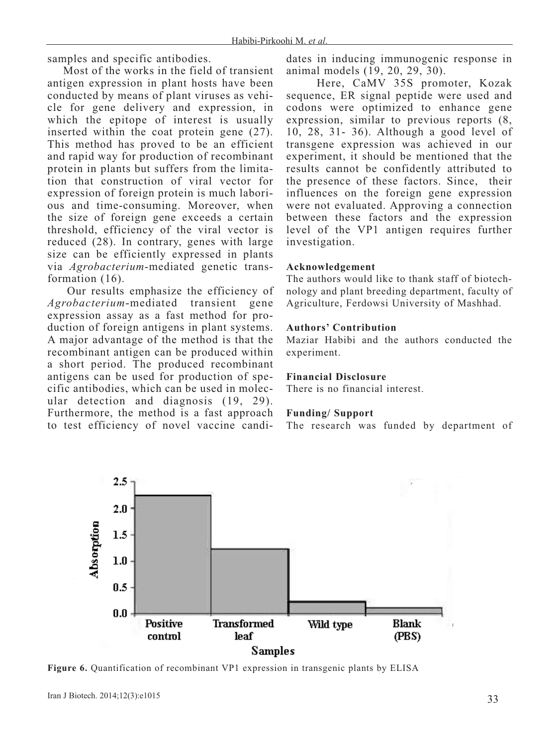samples and specific antibodies.

Most of the works in the field of transient antigen expression in plant hosts have been conducted by means of plant viruses as vehicle for gene delivery and expression, in which the epitope of interest is usually inserted within the coat protein gene (27). This method has proved to be an efficient and rapid way for production of recombinant protein in plants but suffers from the limitation that construction of viral vector for expression of foreign protein is much laborious and time-consuming. Moreover, when the size of foreign gene exceeds a certain threshold, efficiency of the viral vector is reduced (28). In contrary, genes with large size can be efficiently expressed in plants via *Agrobacterium*-mediated genetic transformation (16).

Our results emphasize the efficiency of *Agrobacterium*-mediated transient gene expression assay as a fast method for production of foreign antigens in plant systems. A major advantage of the method is that the recombinant antigen can be produced within a short period. The produced recombinant antigens can be used for production of specific antibodies, which can be used in molecular detection and diagnosis (19, 29). Furthermore, the method is a fast approach to test efficiency of novel vaccine candidates in inducing immunogenic response in animal models (19, 20, 29, 30).

Here, CaMV 35S promoter, Kozak sequence, ER signal peptide were used and codons were optimized to enhance gene expression, similar to previous reports (8, 10, 28, 31- 36). Although a good level of transgene expression was achieved in our experiment, it should be mentioned that the results cannot be confidently attributed to the presence of these factors. Since, their influences on the foreign gene expression were not evaluated. Approving a connection between these factors and the expression level of the VP1 antigen requires further investigation.

#### **Acknowledgement**

The authors would like to thank staff of biotechnology and plant breeding department, faculty of Agriculture, Ferdowsi University of Mashhad.

#### **Authors' Contribution**

Maziar Habibi and the authors conducted the experiment.

## **Financial Disclosure**

There is no financial interest.

#### **Funding/ Support**

The research was funded by department of



**Figure 6.** Quantification of recombinant VP1 expression in transgenic plants by ELISA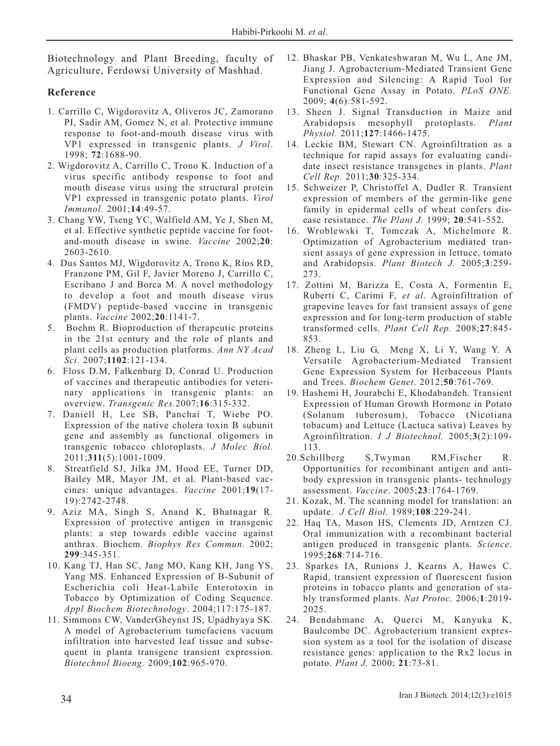Biotechnology and Plant Breeding, faculty of Agriculture, Ferdowsi University of Mashhad.

## **Reference**

- 1. Carrillo C, Wigdorovitz A, Oliveros JC, Zamorano PI, Sadir AM, Gomez N, et al. Protective immune response to foot-and-mouth disease virus with VP1 expressed in transgenic plants. *J Virol*. 1998; **72**:1688-90.
- 2. Wigdorovitz A, Carrillo C, Trono K. Induction of a virus specific antibody response to foot and mouth disease virus using the structural protein VP1 expressed in transgenic potato plants. *Virol Immunol.* 2001;**14**:49-57.
- 3. Chang YW, Tseng YC, Walfield AM, Ye J, Shen M, et al. Effective synthetic peptide vaccine for footand-mouth disease in swine. *Vaccine* 2002;**20**: 2603-2610.
- 4. Dus Santos MJ, Wigdorovitz A, Trono K, Rios RD, Franzone PM, Gil F, Javier Moreno J, Carrillo C, Escribano J and Borca M. A novel methodology to develop a foot and mouth disease virus (FMDV) peptide-based vaccine in transgenic plants. *Vaccine* 2002;**20**:1141-7.
- 5. Boehm R. Bioproduction of therapeutic proteins in the 21st century and the role of plants and plant cells as production platforms. *Ann NY Acad Sci*. 2007;**1102**:121-134.
- 6. Floss D.M, Falkenburg D, Conrad U. Production of vaccines and therapeutic antibodies for veterinary applications in transgenic plants: an overview. *Transgenic Res.*2007;**16**:315-332.
- 7. Daniell H, Lee SB, Panchai T, Wiebe PO. Expression of the native cholera toxin B subunit gene and assembly as functional oligomers in transgenic tobacco chloroplasts. *J Molec Biol.* 2011;**311**(5):1001-1009.
- 8. Streatfield SJ, Jilka JM, Hood EE, Turner DD, Bailey MR, Mayor JM, et al. Plant-based vaccines: unique advantages. *Vaccine* 2001;**19**(17- 19):2742-2748.
- 9. Aziz MA, Singh S, Anand K, Bhatnagar R. Expression of protective antigen in transgenic plants: a step towards edible vaccine against anthrax. Biochem. *Biophys Res Commun.* 2002; **299**:345-351.
- 10. Kang TJ, Han SC, Jang MO, Kang KH, Jang YS, Yang MS. Enhanced Expression of B-Subunit of Escherichia coli Heat-Labile Enterotoxin in Tobacco by Optimization of Coding Sequence. *Appl Biochem Biotechnology*. 2004;117:175-187.
- 11. Simmons CW, VanderGheynst JS, Upadhyaya SK. A model of Agrobacterium tumefaciens vacuum infiltration into harvested leaf tissue and subsequent in planta transgene transient expression. *Biotechnol Bioeng.* 2009;**102**:965-970.
- 12. Bhaskar PB, Venkateshwaran M, Wu L, Ane JM, Jiang J. Agrobacterium-Mediated Transient Gene Expression and Silencing: A Rapid Tool for Functional Gene Assay in Potato. *PLoS ONE.* 2009; **4**(6):581-592.
- 13. Sheen J. Signal Transduction in Maize and Arabidopsis mesophyll protoplasts. *Plant Physiol.* 2011;**127**:1466-1475.
- 14. Leckie BM, Stewart CN. Agroinfiltration as a technique for rapid assays for evaluating candidate insect resistance transgenes in plants. *Plant Cell Rep.* 2011;**30**:325-334.
- 15. Schweizer P, Christoffel A, Dudler R. Transient expression of members of the germin-like gene family in epidermal cells of wheat confers disease resistance. *The Plant J.* 1999; **20**:541-552.
- 16. Wroblewski T, Tomczak A, Michelmore R. Optimization of Agrobacterium mediated transient assays of gene expression in lettuce, tomato and Arabidopsis. *Plant Biotech J.* 2005;**3**:259- 273.
- 17. Zottini M, Barizza E, Costa A, Formentin E, Ruberti C, Carimi F, *et al*. Agroinfiltration of grapevine leaves for fast transient assays of gene expression and for long-term production of stable transformed cells. *Plant Cell Rep.* 2008;**27**:845- 853.
- 18. Zheng L, Liu G, Meng X, Li Y, Wang Y. A Versatile Agrobacterium-Mediated Transient Gene Expression System for Herbaceous Plants and Trees. *Biochem Genet*. 2012;**50**:761-769.
- 19. Hashemi H, Jourabchi E, Khodabandeh. Transient Expression of Human Growth Hormone in Potato (Solanum tuberosum), Tobacco (Nicotiana tobacum) and Lettuce (Lactuca sativa) Leaves by Agroinfiltration. *I J Biotechnol.* 2005;**3**(2):109- 113.
- 20.Schillberg S,Twyman RM,Fischer R. Opportunities for recombinant antigen and antibody expression in transgenic plants- technology assessment. *Vaccine*. 2005;**23**:1764-1769.
- 21. Kozak, M. The scanning model for translation: an update. *J Cell Biol.* 1989;**108**:229-241.
- 22. Haq TA, Mason HS, Clements JD, Arntzen CJ. Oral immunization with a recombinant bacterial antigen produced in transgenic plants. *Science*. 1995;**268**:714-716.
- 23. Sparkes IA, Runions J, Kearns A, Hawes C. Rapid, transient expression of fluorescent fusion proteins in tobacco plants and generation of stably transformed plants. *Nat Protoc.* 2006;**1**:2019- 2025.
- 24. Bendahmane A, Querci M, Kanyuka K, Baulcombe DC. Agrobacterium transient expression system as a tool for the isolation of disease resistance genes: application to the Rx2 locus in potato. *Plant J.* 2000; **21**:73-81.